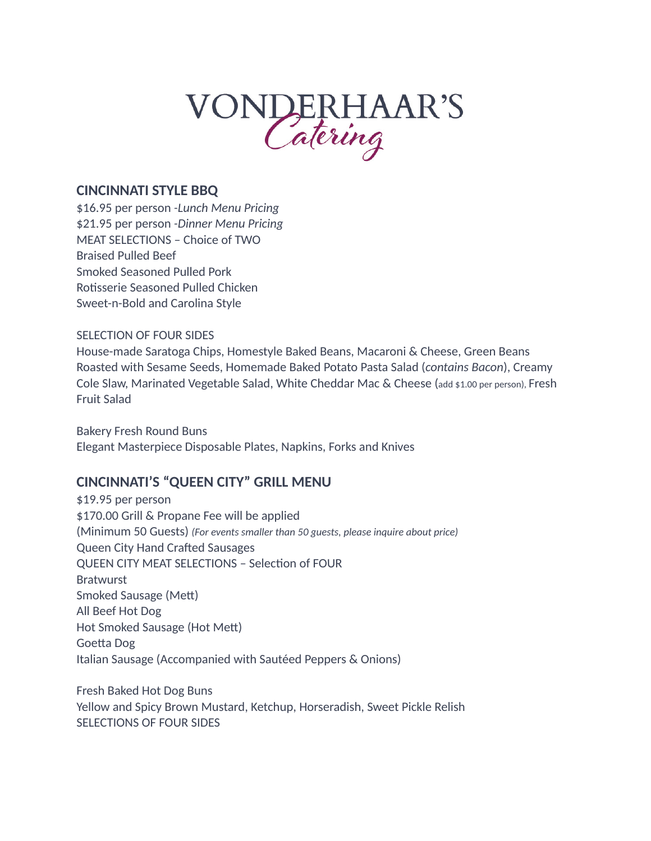# VONDERHAAR'S

### **CINCINNATI STYLE BBQ**

\$16.95 per person *-Lunch Menu Pricing* \$21.95 per person *-Dinner Menu Pricing* MEAT SELECTIONS – Choice of TWO Braised Pulled Beef Smoked Seasoned Pulled Pork Rotisserie Seasoned Pulled Chicken Sweet-n-Bold and Carolina Style

#### SELECTION OF FOUR SIDES

House-made Saratoga Chips, Homestyle Baked Beans, Macaroni & Cheese, Green Beans Roasted with Sesame Seeds, Homemade Baked Potato Pasta Salad (*contains Bacon*), Creamy Cole Slaw, Marinated Vegetable Salad, White Cheddar Mac & Cheese (add \$1.00 per person), Fresh Fruit Salad

Bakery Fresh Round Buns Elegant Masterpiece Disposable Plates, Napkins, Forks and Knives

# **CINCINNATI'S "QUEEN CITY" GRILL MENU**

\$19.95 per person \$170.00 Grill & Propane Fee will be applied (Minimum 50 Guests) *(For events smaller than 50 guests, please inquire about price)* Queen City Hand Crafted Sausages QUEEN CITY MEAT SELECTIONS – Selection of FOUR **Bratwurst** Smoked Sausage (Mett) All Beef Hot Dog Hot Smoked Sausage (Hot Mett) Goetta Dog Italian Sausage (Accompanied with Sautéed Peppers & Onions)

Fresh Baked Hot Dog Buns Yellow and Spicy Brown Mustard, Ketchup, Horseradish, Sweet Pickle Relish SELECTIONS OF FOUR SIDES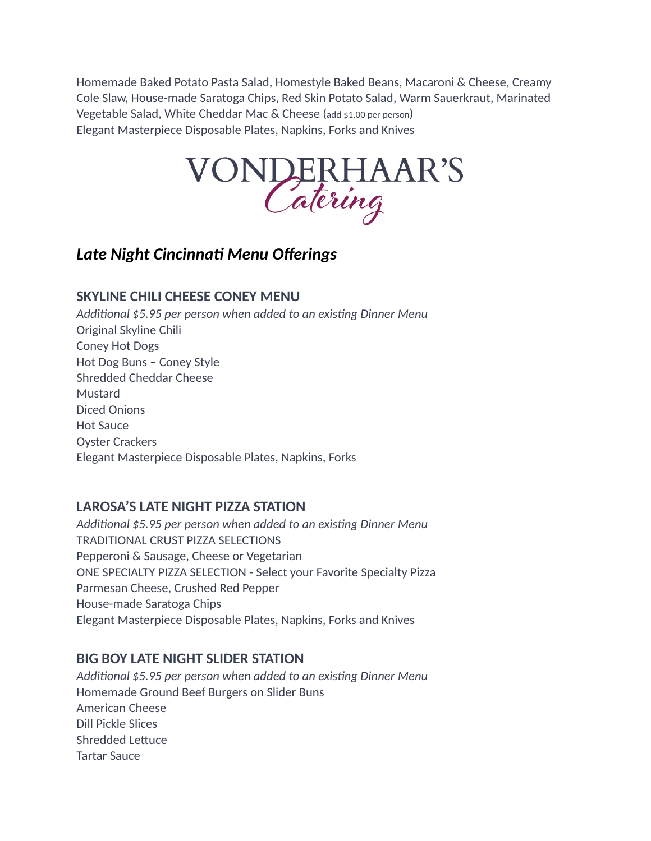Homemade Baked Potato Pasta Salad, Homestyle Baked Beans, Macaroni & Cheese, Creamy Cole Slaw, House-made Saratoga Chips, Red Skin Potato Salad, Warm Sauerkraut, Marinated Vegetable Salad, White Cheddar Mac & Cheese (add \$1.00 per person) Elegant Masterpiece Disposable Plates, Napkins, Forks and Knives



# *Late Night Cincinnati Menu Offerings*

# **SKYLINE CHILI CHEESE CONEY MENU**

*Additional \$5.95 per person when added to an existing Dinner Menu*  Original Skyline Chili Coney Hot Dogs Hot Dog Buns – Coney Style Shredded Cheddar Cheese Mustard Diced Onions Hot Sauce Oyster Crackers Elegant Masterpiece Disposable Plates, Napkins, Forks

# **LAROSA'S LATE NIGHT PIZZA STATION**

*Additional \$5.95 per person when added to an existing Dinner Menu*  TRADITIONAL CRUST PIZZA SELECTIONS Pepperoni & Sausage, Cheese or Vegetarian ONE SPECIALTY PIZZA SELECTION - Select your Favorite Specialty Pizza Parmesan Cheese, Crushed Red Pepper House-made Saratoga Chips Elegant Masterpiece Disposable Plates, Napkins, Forks and Knives

# **BIG BOY LATE NIGHT SLIDER STATION**

*Additional \$5.95 per person when added to an existing Dinner Menu*  Homemade Ground Beef Burgers on Slider Buns American Cheese Dill Pickle Slices Shredded Lettuce Tartar Sauce